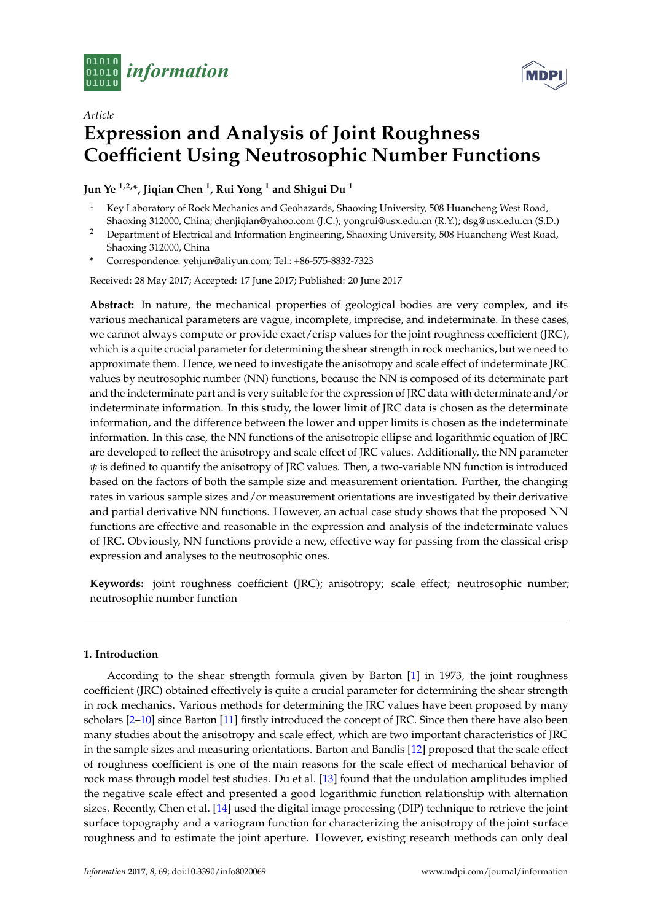

**MDPI** 

# *Article* **Expression and Analysis of Joint Roughness Coefficient Using Neutrosophic Number Functions**

# **Jun Ye 1,2,\*, Jiqian Chen <sup>1</sup> , Rui Yong <sup>1</sup> and Shigui Du <sup>1</sup>**

- <sup>1</sup> Key Laboratory of Rock Mechanics and Geohazards, Shaoxing University, 508 Huancheng West Road, Shaoxing 312000, China; chenjiqian@yahoo.com (J.C.); yongrui@usx.edu.cn (R.Y.); dsg@usx.edu.cn (S.D.)
- <sup>2</sup> Department of Electrical and Information Engineering, Shaoxing University, 508 Huancheng West Road, Shaoxing 312000, China
- **\*** Correspondence: yehjun@aliyun.com; Tel.: +86-575-8832-7323

Received: 28 May 2017; Accepted: 17 June 2017; Published: 20 June 2017

**Abstract:** In nature, the mechanical properties of geological bodies are very complex, and its various mechanical parameters are vague, incomplete, imprecise, and indeterminate. In these cases, we cannot always compute or provide exact/crisp values for the joint roughness coefficient (JRC), which is a quite crucial parameter for determining the shear strength in rock mechanics, but we need to approximate them. Hence, we need to investigate the anisotropy and scale effect of indeterminate JRC values by neutrosophic number (NN) functions, because the NN is composed of its determinate part and the indeterminate part and is very suitable for the expression of JRC data with determinate and/or indeterminate information. In this study, the lower limit of JRC data is chosen as the determinate information, and the difference between the lower and upper limits is chosen as the indeterminate information. In this case, the NN functions of the anisotropic ellipse and logarithmic equation of JRC are developed to reflect the anisotropy and scale effect of JRC values. Additionally, the NN parameter *ψ* is defined to quantify the anisotropy of JRC values. Then, a two-variable NN function is introduced based on the factors of both the sample size and measurement orientation. Further, the changing rates in various sample sizes and/or measurement orientations are investigated by their derivative and partial derivative NN functions. However, an actual case study shows that the proposed NN functions are effective and reasonable in the expression and analysis of the indeterminate values of JRC. Obviously, NN functions provide a new, effective way for passing from the classical crisp expression and analyses to the neutrosophic ones.

**Keywords:** joint roughness coefficient (JRC); anisotropy; scale effect; neutrosophic number; neutrosophic number function

# **1. Introduction**

According to the shear strength formula given by Barton [\[1\]](#page-11-0) in 1973, the joint roughness coefficient (JRC) obtained effectively is quite a crucial parameter for determining the shear strength in rock mechanics. Various methods for determining the JRC values have been proposed by many scholars [\[2](#page-11-1)[–10\]](#page-12-0) since Barton [\[11\]](#page-12-1) firstly introduced the concept of JRC. Since then there have also been many studies about the anisotropy and scale effect, which are two important characteristics of JRC in the sample sizes and measuring orientations. Barton and Bandis [\[12\]](#page-12-2) proposed that the scale effect of roughness coefficient is one of the main reasons for the scale effect of mechanical behavior of rock mass through model test studies. Du et al. [\[13\]](#page-12-3) found that the undulation amplitudes implied the negative scale effect and presented a good logarithmic function relationship with alternation sizes. Recently, Chen et al. [\[14\]](#page-12-4) used the digital image processing (DIP) technique to retrieve the joint surface topography and a variogram function for characterizing the anisotropy of the joint surface roughness and to estimate the joint aperture. However, existing research methods can only deal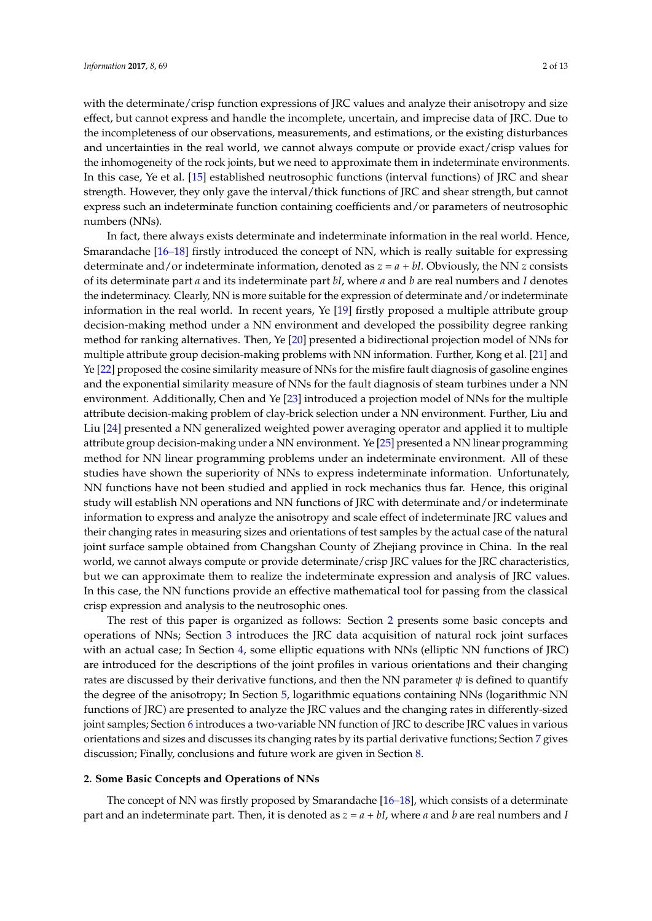with the determinate/crisp function expressions of JRC values and analyze their anisotropy and size effect, but cannot express and handle the incomplete, uncertain, and imprecise data of JRC. Due to the incompleteness of our observations, measurements, and estimations, or the existing disturbances and uncertainties in the real world, we cannot always compute or provide exact/crisp values for the inhomogeneity of the rock joints, but we need to approximate them in indeterminate environments. In this case, Ye et al. [\[15\]](#page-12-5) established neutrosophic functions (interval functions) of JRC and shear strength. However, they only gave the interval/thick functions of JRC and shear strength, but cannot express such an indeterminate function containing coefficients and/or parameters of neutrosophic numbers (NNs).

In fact, there always exists determinate and indeterminate information in the real world. Hence, Smarandache [\[16–](#page-12-6)[18\]](#page-12-7) firstly introduced the concept of NN, which is really suitable for expressing determinate and/or indeterminate information, denoted as *z = a + bI*. Obviously, the NN *z* consists of its determinate part *a* and its indeterminate part *bI*, where *a* and *b* are real numbers and *I* denotes the indeterminacy. Clearly, NN is more suitable for the expression of determinate and/or indeterminate information in the real world. In recent years, Ye [\[19\]](#page-12-8) firstly proposed a multiple attribute group decision-making method under a NN environment and developed the possibility degree ranking method for ranking alternatives. Then, Ye [\[20\]](#page-12-9) presented a bidirectional projection model of NNs for multiple attribute group decision-making problems with NN information. Further, Kong et al. [\[21\]](#page-12-10) and Ye [\[22\]](#page-12-11) proposed the cosine similarity measure of NNs for the misfire fault diagnosis of gasoline engines and the exponential similarity measure of NNs for the fault diagnosis of steam turbines under a NN environment. Additionally, Chen and Ye [\[23\]](#page-12-12) introduced a projection model of NNs for the multiple attribute decision-making problem of clay-brick selection under a NN environment. Further, Liu and Liu [\[24\]](#page-12-13) presented a NN generalized weighted power averaging operator and applied it to multiple attribute group decision-making under a NN environment. Ye [\[25\]](#page-12-14) presented a NN linear programming method for NN linear programming problems under an indeterminate environment. All of these studies have shown the superiority of NNs to express indeterminate information. Unfortunately, NN functions have not been studied and applied in rock mechanics thus far. Hence, this original study will establish NN operations and NN functions of JRC with determinate and/or indeterminate information to express and analyze the anisotropy and scale effect of indeterminate JRC values and their changing rates in measuring sizes and orientations of test samples by the actual case of the natural joint surface sample obtained from Changshan County of Zhejiang province in China. In the real world, we cannot always compute or provide determinate/crisp JRC values for the JRC characteristics, but we can approximate them to realize the indeterminate expression and analysis of JRC values. In this case, the NN functions provide an effective mathematical tool for passing from the classical crisp expression and analysis to the neutrosophic ones.

The rest of this paper is organized as follows: Section [2](#page-1-0) presents some basic concepts and operations of NNs; Section [3](#page-2-0) introduces the JRC data acquisition of natural rock joint surfaces with an actual case; In Section [4,](#page-2-1) some elliptic equations with NNs (elliptic NN functions of JRC) are introduced for the descriptions of the joint profiles in various orientations and their changing rates are discussed by their derivative functions, and then the NN parameter  $\psi$  is defined to quantify the degree of the anisotropy; In Section [5,](#page-6-0) logarithmic equations containing NNs (logarithmic NN functions of JRC) are presented to analyze the JRC values and the changing rates in differently-sized joint samples; Section [6](#page-9-0) introduces a two-variable NN function of JRC to describe JRC values in various orientations and sizes and discusses its changing rates by its partial derivative functions; Section [7](#page-10-0) gives discussion; Finally, conclusions and future work are given in Section [8.](#page-11-2)

#### <span id="page-1-0"></span>**2. Some Basic Concepts and Operations of NNs**

The concept of NN was firstly proposed by Smarandache [\[16–](#page-12-6)[18\]](#page-12-7), which consists of a determinate part and an indeterminate part. Then, it is denoted as *z = a + bI*, where *a* and *b* are real numbers and *I*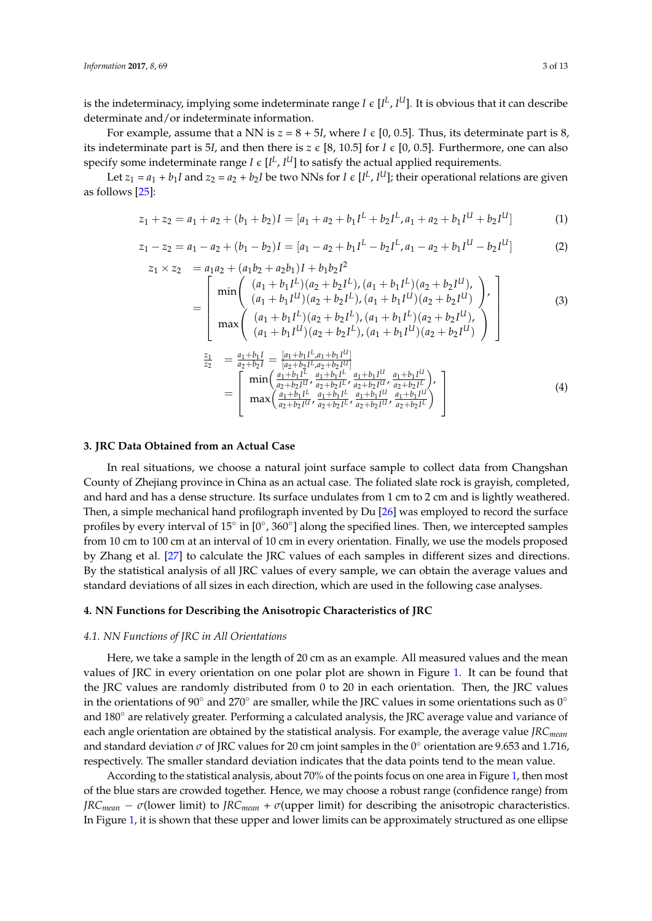is the indeterminacy, implying some indeterminate range *I*  $\epsilon$  [*I<sup>L</sup>*, *I<sup>U</sup>*]. It is obvious that it can describe determinate and/or indeterminate information.

For example, assume that a NN is  $z = 8 + 5I$ , where  $I \in [0, 0.5]$ . Thus, its determinate part is 8, its indeterminate part is 5*I*, and then there is  $z \in [8, 10.5]$  for  $I \in [0, 0.5]$ . Furthermore, one can also specify some indeterminate range *I*  $\epsilon$  [*I*<sup>L</sup>, *I*<sup>U</sup>] to satisfy the actual applied requirements.

Let  $z_1 = a_1 + b_1 I$  and  $z_2 = a_2 + b_2 I$  be two NNs for  $I \in [I^L, I^U]$ ; their operational relations are given as follows [\[25\]](#page-12-14):

$$
z_1 + z_2 = a_1 + a_2 + (b_1 + b_2)I = [a_1 + a_2 + b_1I^L + b_2I^L, a_1 + a_2 + b_1I^U + b_2I^U]
$$
(1)

$$
z_1 - z_2 = a_1 - a_2 + (b_1 - b_2)I = [a_1 - a_2 + b_1I^L - b_2I^L, a_1 - a_2 + b_1I^U - b_2I^U]
$$
 (2)

$$
z_1 \times z_2 = a_1 a_2 + (a_1 b_2 + a_2 b_1) I + b_1 b_2 I^2
$$
  
= 
$$
\begin{bmatrix} \min \begin{pmatrix} (a_1 + b_1 I^L)(a_2 + b_2 I^L), (a_1 + b_1 I^L)(a_2 + b_2 I^U), \\ (a_1 + b_1 I^U)(a_2 + b_2 I^L), (a_1 + b_1 I^U)(a_2 + b_2 I^U) \end{pmatrix} \\ \max \begin{pmatrix} (a_1 + b_1 I^L)(a_2 + b_2 I^L), (a_1 + b_1 I^L)(a_2 + b_2 I^U), \\ (a_1 + b_1 I^U)(a_2 + b_2 I^L), (a_1 + b_1 I^U)(a_2 + b_2 I^U) \end{pmatrix} \end{bmatrix}
$$
(3)

$$
\begin{array}{lll}\n\frac{z_1}{z_2} &=& \frac{a_1 + b_1 I}{a_2 + b_2 I} = \frac{[a_1 + b_1 I^L, a_1 + b_1 I^U]}{[a_2 + b_2 I^L, a_2 + b_2 I^U]} \\
&=& \left[ \begin{array}{c} \min\left(\frac{a_1 + b_1 I^L}{a_2 + b_2 I^U}, \frac{a_1 + b_1 I^L}{a_2 + b_2 I^U}, \frac{a_1 + b_1 I^U}{a_2 + b_2 I^U}, \frac{a_1 + b_1 I^U}{a_2 + b_2 I^U} \right), \\
\max\left(\frac{a_1 + b_1 I^L}{a_2 + b_2 I^U}, \frac{a_1 + b_1 I^L}{a_2 + b_2 I^U}, \frac{a_1 + b_1 I^U}{a_2 + b_2 I^U}, \frac{a_1 + b_1 I^U}{a_2 + b_2 I^U} \right) \end{array} \right]\n\end{array}\n\tag{4}
$$

#### <span id="page-2-0"></span>**3. JRC Data Obtained from an Actual Case**

In real situations, we choose a natural joint surface sample to collect data from Changshan County of Zhejiang province in China as an actual case. The foliated slate rock is grayish, completed, and hard and has a dense structure. Its surface undulates from 1 cm to 2 cm and is lightly weathered. Then, a simple mechanical hand profilograph invented by Du [\[26\]](#page-12-15) was employed to record the surface profiles by every interval of 15 $^{\circ}$  in  $[0^{\circ}, 360^{\circ}]$  along the specified lines. Then, we intercepted samples from 10 cm to 100 cm at an interval of 10 cm in every orientation. Finally, we use the models proposed by Zhang et al. [\[27\]](#page-12-16) to calculate the JRC values of each samples in different sizes and directions. By the statistical analysis of all JRC values of every sample, we can obtain the average values and standard deviations of all sizes in each direction, which are used in the following case analyses.

## <span id="page-2-1"></span>**4. NN Functions for Describing the Anisotropic Characteristics of JRC**

## *4.1. NN Functions of JRC in All Orientations*

Here, we take a sample in the length of 20 cm as an example. All measured values and the mean values of JRC in every orientation on one polar plot are shown in Figure [1.](#page-4-0) It can be found that the JRC values are randomly distributed from 0 to 20 in each orientation. Then, the JRC values in the orientations of 90 $\degree$  and 270 $\degree$  are smaller, while the JRC values in some orientations such as 0 $\degree$ and 180◦ are relatively greater. Performing a calculated analysis, the JRC average value and variance of each angle orientation are obtained by the statistical analysis. For example, the average value *JRCmean* and standard deviation  $\sigma$  of JRC values for 20 cm joint samples in the 0 $\degree$  orientation are 9.653 and 1.716, respectively. The smaller standard deviation indicates that the data points tend to the mean value.

According to the statistical analysis, about 70% of the points focus on one area in Figure [1,](#page-4-0) then most of the blue stars are crowded together. Hence, we may choose a robust range (confidence range) from *JRC*<sub>*mean*</sub> –  $\sigma$ (lower limit) to *JRC*<sub>*mean*</sub> +  $\sigma$ (upper limit) for describing the anisotropic characteristics. In Figure [1,](#page-4-0) it is shown that these upper and lower limits can be approximately structured as one ellipse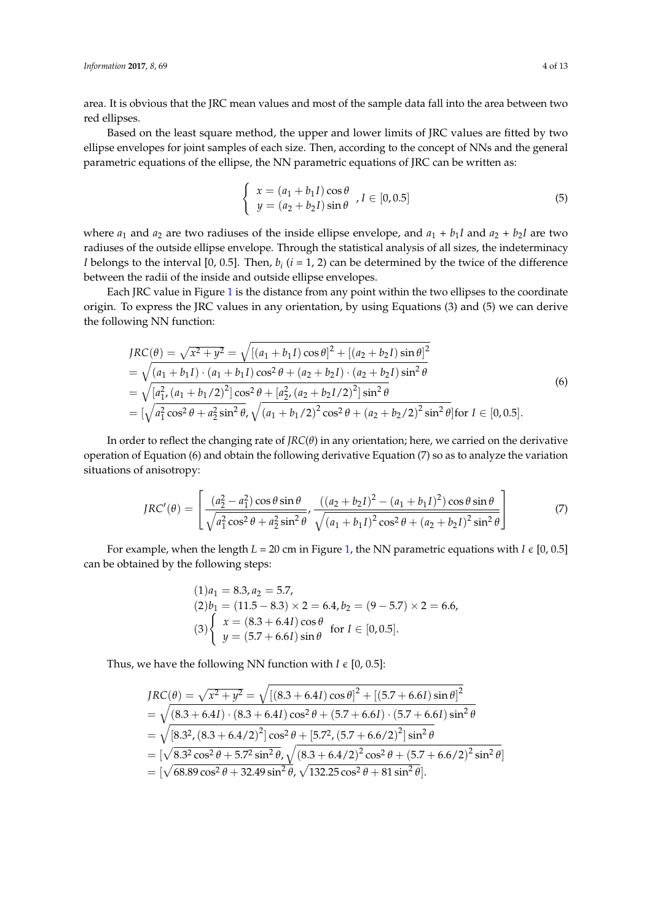area. It is obvious that the JRC mean values and most of the sample data fall into the area between two red ellipses.

Based on the least square method, the upper and lower limits of JRC values are fitted by two ellipse envelopes for joint samples of each size. Then, according to the concept of NNs and the general parametric equations of the ellipse, the NN parametric equations of JRC can be written as:

$$
\begin{cases}\n x = (a_1 + b_1 I) \cos \theta \\
 y = (a_2 + b_2 I) \sin \theta\n\end{cases}, I \in [0, 0.5]
$$
\n(5)

where  $a_1$  and  $a_2$  are two radiuses of the inside ellipse envelope, and  $a_1 + b_1I$  and  $a_2 + b_2I$  are two radiuses of the outside ellipse envelope. Through the statistical analysis of all sizes, the indeterminacy *I* belongs to the interval [0, 0.5]. Then,  $b_i$  (*i* = 1, 2) can be determined by the twice of the difference between the radii of the inside and outside ellipse envelopes.

Each JRC value in Figure [1](#page-4-0) is the distance from any point within the two ellipses to the coordinate origin. To express the JRC values in any orientation, by using Equations (3) and (5) we can derive the following NN function:

$$
JRC(\theta) = \sqrt{x^2 + y^2} = \sqrt{[(a_1 + b_1 I)\cos\theta]^2 + [(a_2 + b_2 I)\sin\theta]^2}
$$
  
=  $\sqrt{(a_1 + b_1 I) \cdot (a_1 + b_1 I)\cos^2\theta + (a_2 + b_2 I) \cdot (a_2 + b_2 I)\sin^2\theta}$   
=  $\sqrt{[a_1^2, (a_1 + b_1/2)^2] \cos^2\theta + [a_2^2, (a_2 + b_2 I/2)^2] \sin^2\theta}$   
=  $[\sqrt{a_1^2 \cos^2\theta + a_2^2 \sin^2\theta}, \sqrt{(a_1 + b_1/2)^2 \cos^2\theta + (a_2 + b_2/2)^2 \sin^2\theta}] \text{ for } I \in [0, 0.5].$  (6)

In order to reflect the changing rate of *JRC*(*θ*) in any orientation; here, we carried on the derivative operation of Equation (6) and obtain the following derivative Equation (7) so as to analyze the variation situations of anisotropy:

$$
JRC'(\theta) = \left[ \frac{(a_2^2 - a_1^2)\cos\theta\sin\theta}{\sqrt{a_1^2\cos^2\theta + a_2^2\sin^2\theta}}, \frac{((a_2 + b_2I)^2 - (a_1 + b_1I)^2)\cos\theta\sin\theta}{\sqrt{(a_1 + b_1I)^2\cos^2\theta + (a_2 + b_2I)^2\sin^2\theta}} \right]
$$
(7)

For example, when the length  $L = 20$  cm in Figure [1,](#page-4-0) the NN parametric equations with  $I \in [0, 0.5]$ can be obtained by the following steps:

$$
(1) a1 = 8.3, a2 = 5.7,(2) b1 = (11.5 - 8.3) \times 2 = 6.4, b2 = (9 - 5.7) \times 2 = 6.6,(3) \begin{cases} x = (8.3 + 6.4I)\cos\theta \\ y = (5.7 + 6.6I)\sin\theta \end{cases}
$$
 for  $I \in [0, 0.5]$ .

Thus, we have the following NN function with  $I \in [0, 0.5]$ :

$$
JRC(\theta) = \sqrt{x^2 + y^2} = \sqrt{[(8.3 + 6.4I)\cos\theta]^2 + [(5.7 + 6.6I)\sin\theta]^2}
$$
  
=  $\sqrt{(8.3 + 6.4I) \cdot (8.3 + 6.4I)\cos^2\theta + (5.7 + 6.6I) \cdot (5.7 + 6.6I)\sin^2\theta}$   
=  $\sqrt{[8.3^2, (8.3 + 6.4/2)^2] \cos^2\theta + [5.7^2, (5.7 + 6.6/2)^2] \sin^2\theta}$   
=  $[\sqrt{8.3^2 \cos^2\theta + 5.7^2 \sin^2\theta}, \sqrt{(8.3 + 6.4/2)^2 \cos^2\theta + (5.7 + 6.6/2)^2 \sin^2\theta}]$   
=  $[\sqrt{68.89 \cos^2\theta + 32.49 \sin^2\theta}, \sqrt{132.25 \cos^2\theta + 81 \sin^2\theta}].$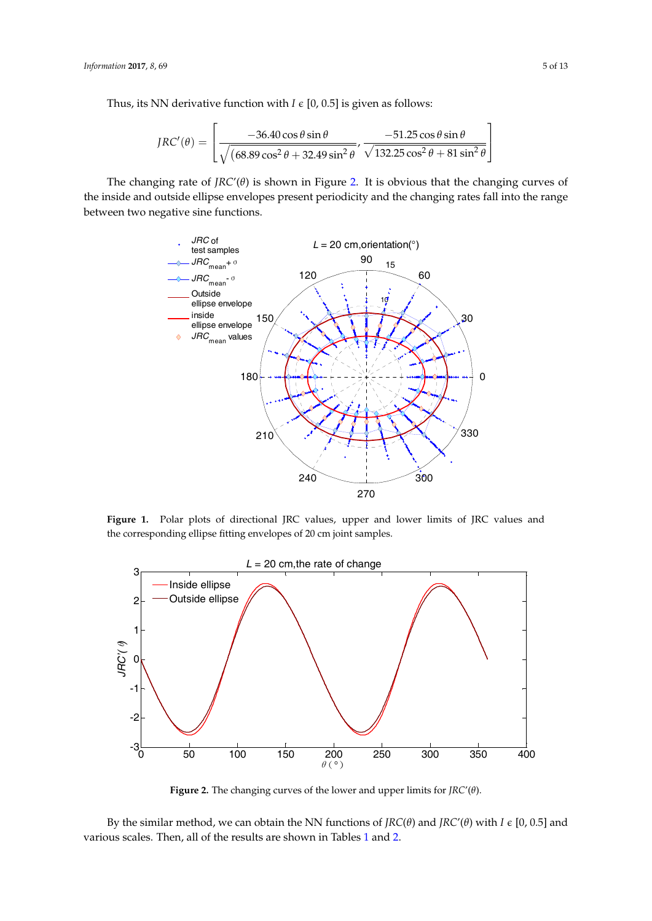Thus, its NN derivative function with  $I \in [0, 0.5]$  is given as follows: Thus, its NN derivative function with *I* ϵ [0, 0.5] is given as follows: Thus, its NN derivative function with *I* ϵ [0, 0.5] is given as follows:

$$
JRC'(\theta) = \left[ \frac{-36.40 \cos \theta \sin \theta}{\sqrt{(68.89 \cos^2 \theta + 32.49 \sin^2 \theta}}, \frac{-51.25 \cos \theta \sin \theta}{\sqrt{132.25 \cos^2 \theta + 81 \sin^2 \theta}} \right]
$$

<span id="page-4-0"></span>The changing rate of  $JRC'(\theta)$  is shown in Figure [2.](#page-4-1) It is obvious that the changing curves of the inside and outside ellipse envelopes present periodicity and the changing rates fall into the range between two negative sine functions. between two negative sine functions. between two negative sine functions.



Figure 1. Polar plots of directional JRC values, upper and lower limits of JRC values and corresponding ellipse fitting envelopes of 20 cm joint samples. the corresponding ellipse fitting envelopes of 20 cm joint samples. corresponding ellipse fitting envelopes of 20 cm joint samples.

<span id="page-4-1"></span>

Figure 2. The changing curves of the lower and upper limits for  $JRC'(\theta)$ .

By the similar method, we can obtain the NN functions of  $JRC(\theta)$  and  $JRC'(\theta)$  with  $I \in [0, 0.5]$  and various scales. Then, all of the results are shown in Tables [1](#page-5-0) and [2.](#page-5-1)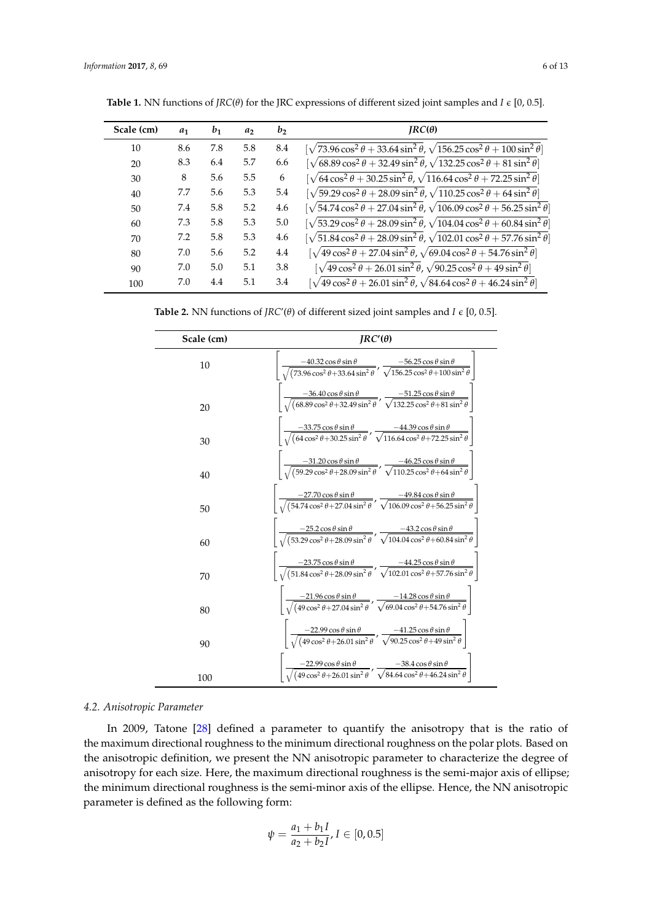| Scale (cm) | $a_1$ | $b_1$ | a <sub>2</sub> | b <sub>2</sub> | $IRC(\theta)$                                                                                                 |
|------------|-------|-------|----------------|----------------|---------------------------------------------------------------------------------------------------------------|
| 10         | 8.6   | 7.8   | 5.8            | 8.4            | $[\sqrt{73.96} \cos^2 \theta + 33.64 \sin^2 \theta, \sqrt{156.25} \cos^2 \theta + 100 \sin^2 \theta]$         |
| 20         | 8.3   | 6.4   | 5.7            | 6.6            | $[\sqrt{68.89 \cos^2 \theta + 32.49 \sin^2 \theta}, \sqrt{132.25 \cos^2 \theta + 81 \sin^2 \theta}]$          |
| 30         | 8     | 5.6   | 5.5            | 6              | $[\sqrt{64} \cos^2 \theta + 30.25 \sin^2 \theta, \sqrt{116.64 \cos^2 \theta + 72.25 \sin^2 \theta}]$          |
| 40         | 7.7   | 5.6   | 5.3            | 5.4            | $[\sqrt{59.29 \cos^2 \theta + 28.09 \sin^2 \theta}, \sqrt{110.25 \cos^2 \theta + 64 \sin^2 \theta}]$          |
| 50         | 7.4   | 5.8   | 5.2            | 4.6            | $[\sqrt{54.74 \cos^2 \theta + 27.04 \sin^2 \theta}, \sqrt{106.09 \cos^2 \theta + 56.25 \sin^2 \theta}]$       |
| 60         | 7.3   | 5.8   | 5.3            | 5.0            | $\int \sqrt{53.29 \cos^2 \theta + 28.09 \sin^2 \theta}$ , $\sqrt{104.04 \cos^2 \theta + 60.84 \sin^2 \theta}$ |
| 70         | 7.2   | 5.8   | 5.3            | 4.6            | $\sqrt{51.84\cos^2\theta + 28.09\sin^2\theta}$ , $\sqrt{102.01\cos^2\theta + 57.76\sin^2\theta}$              |
| 80         | 7.0   | 5.6   | 5.2            | 4.4            | $[\sqrt{49\cos^2{\theta}+27.04\sin^2{\theta}},\sqrt{69.04\cos^2{\theta}+54.76\sin^2{\theta}}]$                |
| 90         | 7.0   | 5.0   | 5.1            | 3.8            | $[\sqrt{49\cos^2\theta + 26.01\sin^2\theta}, \sqrt{90.25\cos^2\theta + 49\sin^2\theta}]$                      |
| 100        | 7.0   | 4.4   | 5.1            | 3.4            | $[\sqrt{49\cos^2\theta + 26.01\sin^2\theta}, \sqrt{84.64\cos^2\theta + 46.24\sin^2\theta}]$                   |

<span id="page-5-0"></span>**Table 1.** NN functions of *JRC*( $\theta$ ) for the JRC expressions of different sized joint samples and *I*  $\epsilon$  [0, 0.5].

<span id="page-5-1"></span>**Table 2.** NN functions of *JRC'*( $\theta$ ) of different sized joint samples and *I*  $\epsilon$  [0, 0.5].

| Scale (cm) | $IRC'(\theta)$                                                                                                                                                                                       |  |  |  |  |
|------------|------------------------------------------------------------------------------------------------------------------------------------------------------------------------------------------------------|--|--|--|--|
| 10         | $\frac{-40.32 \cos \theta \sin \theta}{\sqrt{(73.96 \cos^2 \theta + 33.64 \sin^2 \theta)}}$<br>$\frac{-56.25 \cos \theta \sin \theta}{\sqrt{156.25 \cos^2 \theta + 100 \sin^2 \theta}}$              |  |  |  |  |
| 20         | $\frac{-36.40 \cos \theta \sin \theta}{\sqrt{(68.89 \cos^2 \theta + 32.49 \sin^2 \theta)}} , \frac{-51.25 \cos \theta \sin \theta}{\sqrt{132.25 \cos^2 \theta + 81 \sin^2 \theta}}$                  |  |  |  |  |
| 30         | $\frac{-33.75 \cos \theta \sin \theta}{\sqrt{(64 \cos^2 \theta + 30.25 \sin^2 \theta)}}, \frac{-44.39 \cos \theta \sin \theta}{\sqrt{116.64 \cos^2 \theta + 72.25 \sin^2 \theta}}$                   |  |  |  |  |
| 40         | $\frac{-31.20 \cos \theta \sin \theta}{\sqrt{(59.29 \cos^2 \theta + 28.09 \sin^2 \theta)}} , \frac{-46.25 \cos \theta \sin \theta}{\sqrt{110.25 \cos^2 \theta + 64 \sin^2 \theta}}$                  |  |  |  |  |
| 50         | $\left  \frac{-27.70 \cos \theta \sin \theta}{\sqrt{(54.74 \cos^2 \theta + 27.04 \sin^2 \theta)}}, \frac{-49.84 \cos \theta \sin \theta}{\sqrt{106.09 \cos^2 \theta + 56.25 \sin^2 \theta}} \right $ |  |  |  |  |
| 60         | $\frac{-25.2 \cos \theta \sin \theta}{\sqrt{(53.29 \cos^2 \theta + 28.09 \sin^2 \theta)}}$                                                                                                           |  |  |  |  |
| 70         | $\frac{-23.75 \cos \theta \sin \theta}{\sqrt{(51.84 \cos^2 \theta + 28.09 \sin^2 \theta)}}$ , $\frac{-44.25 \cos \theta \sin \theta}{\sqrt{102.01 \cos^2 \theta + 57.76 \sin^2 \theta}}$             |  |  |  |  |
| 80         | $\frac{-21.96 \cos \theta \sin \theta}{\sqrt{(49 \cos^2 \theta + 27.04 \sin^2 \theta)}}$<br>$\frac{-14.28 \cos \theta \sin \theta}{\sqrt{69.04 \cos^2 \theta + 54.76 \sin^2 \theta}}$                |  |  |  |  |
| 90         | $\frac{-22.99 \cos \theta \sin \theta}{\sqrt{(49 \cos^2 \theta + 26.01 \sin^2 \theta)}}, \frac{-41.25 \cos \theta \sin \theta}{\sqrt{90.25 \cos^2 \theta + 49 \sin^2 \theta}}$                       |  |  |  |  |
| 100        | $\frac{-22.99 \cos \theta \sin \theta}{\sqrt{(49 \cos^2 \theta + 26.01 \sin^2 \theta)}}$<br>$\frac{-38.4 \cos \theta \sin \theta}{\sqrt{84.64 \cos^2 \theta + 46.24 \sin^2 \theta}}$                 |  |  |  |  |

## *4.2. Anisotropic Parameter*

In 2009, Tatone [\[28\]](#page-12-17) defined a parameter to quantify the anisotropy that is the ratio of the maximum directional roughness to the minimum directional roughness on the polar plots. Based on the anisotropic definition, we present the NN anisotropic parameter to characterize the degree of anisotropy for each size. Here, the maximum directional roughness is the semi-major axis of ellipse; the minimum directional roughness is the semi-minor axis of the ellipse. Hence, the NN anisotropic parameter is defined as the following form:

$$
\psi = \frac{a_1 + b_1 I}{a_2 + b_2 I}, I \in [0, 0.5]
$$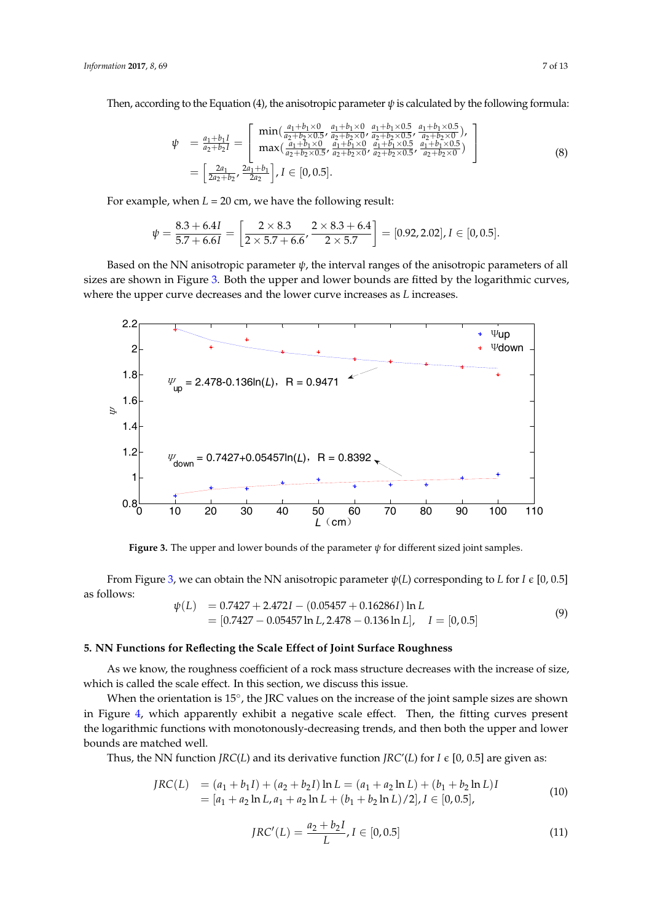Then, according to the Equation (4), the anisotropic parameter  $\psi$  is calculated by the following formula:  $\alpha$  by the Equation (4), the anisotropic parameter  $\psi$  is calculated by the followition ording to the followit

$$
\psi = \frac{a_1 + b_1 I}{a_2 + b_2 I} = \begin{bmatrix} \min(\frac{a_1 + b_1 \times 0}{a_2 + b_2 \times 0.5}, \frac{a_1 + b_1 \times 0}{a_2 + b_2 \times 0}, \frac{a_1 + b_1 \times 0.5}{a_2 + b_2 \times 0.5}, \frac{a_1 + b_1 \times 0.5}{a_2 + b_2 \times 0.5}, \frac{a_1 + b_1 \times 0.5}{a_2 + b_2 \times 0.5}, \frac{a_1 + b_1 \times 0.5}{a_2 + b_2 \times 0.5}, \frac{a_1 + b_1 \times 0.5}{a_2 + b_2 \times 0.5}, \frac{a_1 + b_1 \times 0.5}{a_2 + b_2 \times 0.5}, \frac{a_1 + b_1 \times 0.5}{a_2 + b_2 \times 0.5} \end{bmatrix}
$$
\n
$$
= \left[ \frac{2a_1}{2a_2 + b_2}, \frac{2a_1 + b_1}{2a_2} \right], I \in [0, 0.5]. \tag{8}
$$

For example, when  $L = 20$  cm, we have the following result:  $\frac{1}{2}$   $\frac{1}{2}$   $\frac{1}{2}$   $\frac{1}{2}$   $\frac{1}{2}$   $\frac{1}{2}$   $\frac{1}{2}$   $\frac{1}{2}$   $\frac{1}{2}$   $\frac{1}{2}$   $\frac{1}{2}$   $\frac{1}{2}$   $\frac{1}{2}$   $\frac{1}{2}$   $\frac{1}{2}$   $\frac{1}{2}$   $\frac{1}{2}$   $\frac{1}{2}$   $\frac{1}{2}$   $\frac{1}{2}$   $\frac{1}{2}$   $\frac{1}{2}$ 

$$
\psi = \frac{8.3 + 6.4I}{5.7 + 6.6I} = \left[\frac{2 \times 8.3}{2 \times 5.7 + 6.6}, \frac{2 \times 8.3 + 6.4}{2 \times 5.7}\right] = [0.92, 2.02], I \in [0, 0.5].
$$

Based on the NN anisotropic parameter *ψ*, the interval ranges of the anisotropic parameters of all sizes are shown in Figure [3.](#page-6-1) Both the upper and lower bounds are fitted by the logarithmic curves, where the upper curve decreases and the lower curve increases as *L* increases. Based on the NN anisotropic parameter *ψ*, the interval ranges of the anisotropic parameters of based on the INN anisotropic parameter  $\psi$ , the interval ranges of the anisotropic parameters of all

<span id="page-6-1"></span>

**Figure 3.** The upper and lower bounds of the parameter *ψ* for different sized joint samples. **Figure 3.** The upper and lower bounds of the parameter *ψ* for different sized joint samples.

From Figure [3,](#page-6-1) we can obtain the NN anisotropic parameter  $\psi(L)$  corresponding to L for I  $\epsilon$  [0, 0.5] as follows:

$$
\psi(L) = 0.7427 + 2.472I - (0.05457 + 0.16286I) \ln L \n= [0.7427 - 0.05457 \ln L, 2.478 - 0.136 \ln L], \quad I = [0, 0.5]
$$
\n(9)

## <span id="page-6-0"></span>**5. NN Functions for Reflecting the Scale Effect of Joint Surface Roughness**

As we know, the roughness coefficient of a rock mass structure decreases with the increase of size, which is called the scale effect. In this section, we discuss this issue.

When the orientation is 15°, the JRC values on the increase of the joint sample sizes are shown in Figure [4,](#page-7-0) which apparently exhibit a negative scale effect. Then, the fitting curves present the logarithmic functions with monotonously-decreasing trends, and then both the upper and lower bounds are matched well.

Thus, the NN function *JRC*(*L*) and its derivative function *JRC*'(*L*) for *I*  $\epsilon$  [0, 0.5] are given as:

$$
JRC(L) = (a_1 + b_1I) + (a_2 + b_2I) \ln L = (a_1 + a_2 \ln L) + (b_1 + b_2 \ln L)I
$$
  
=  $[a_1 + a_2 \ln L, a_1 + a_2 \ln L + (b_1 + b_2 \ln L)/2], I \in [0, 0.5],$  (10)

$$
JRC'(L) = \frac{a_2 + b_2 I}{L}, I \in [0, 0.5]
$$
\n(11)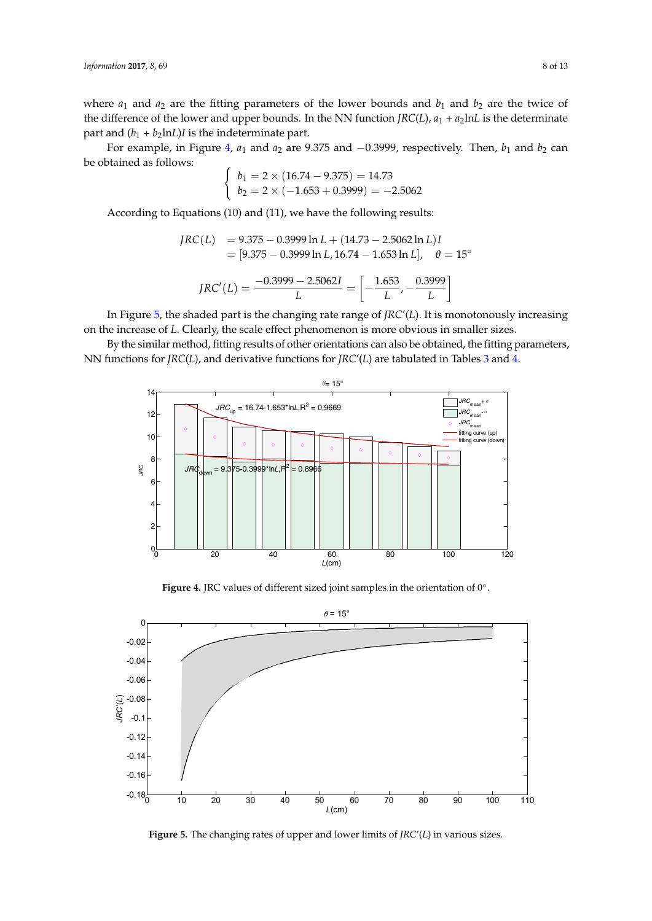where  $a_1$  and  $a_2$  are the fitting parameters of the lower bounds and  $b_1$  and  $b_2$  are the twice of the difference of the lower and upper bounds. In the NN function *JRC(L)*,  $a_1 + a_2$ ln*L* is the determinate part and  $(b_1 + b_2 \ln L)I$  is the indeterminate part.

For example, in Figure [4,](#page-7-0)  $a_1$  and  $a_2$  are 9.375 and  $-0.3999$ , respectively. Then,  $b_1$  and  $b_2$  can be obtained as follows: 2 ( 1.653 0.3999) 2.5062  $\overline{a}$ 

$$
\begin{cases}\nb_1 = 2 \times (16.74 - 9.375) = 14.73 \\
b_2 = 2 \times (-1.653 + 0.3999) = -2.5062\n\end{cases}
$$

According to Equations (10) and (11), we have the following results:

$$
JRC(L) = 9.375 - 0.3999 \ln L + (14.73 - 2.5062 \ln L)I
$$
  
= [9.375 - 0.3999 \ln L, 16.74 - 1.653 \ln L],  $\theta = 15^{\circ}$   

$$
JRC'(L) = \frac{-0.3999 - 2.5062I}{L} = \left[ -\frac{1.653}{L}, -\frac{0.3999}{L} \right]
$$

In Figure 5, the shaded part is the changing rate range of *JRC'(L)*. It is monotonously increasing on the increase of *L*. Clearly, the scale effect phenomenon is more obvious in smaller sizes.

<span id="page-7-0"></span>By the similar method, fitting results of other orientations can also be obtained, the fitting parameters, NN functions for *JRC(L)*, and derivative functions for *JRC'(L)* are tabulated in Tables [3](#page-8-0) and [4.](#page-8-1)



Figure 4. JRC values of different sized joint samples in the orientation of  $0^\circ$ .

<span id="page-7-1"></span>

**Figure 5.** The changing rates of upper and lower limits of *JRC*'(*L*) in various sizes. **Figure 5.** The changing rates of upper and lower limits of *JRC*'(*L*) in various sizes.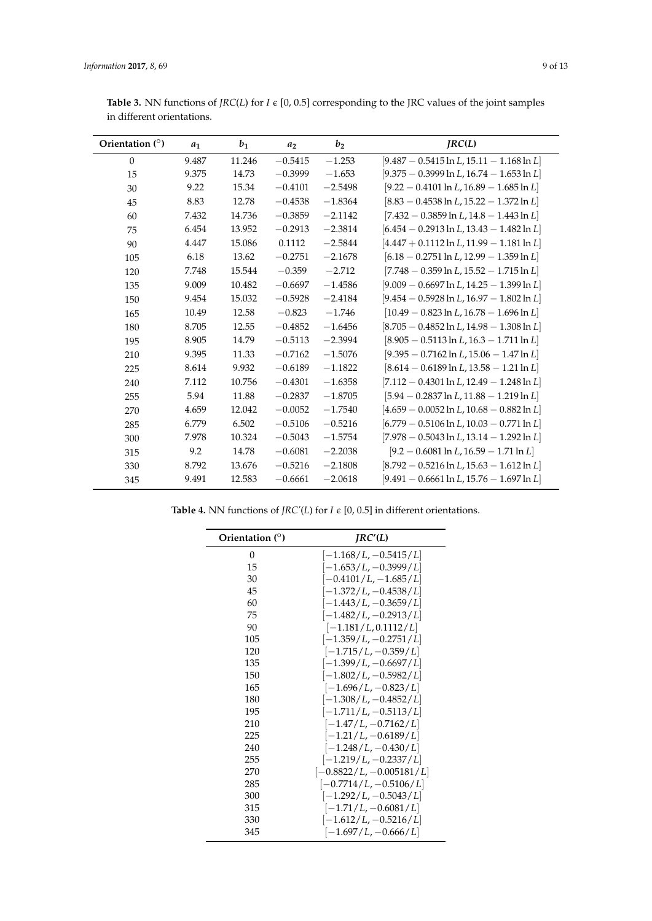| Orientation $(°)$ | $a_1$ | $b_1$  | a <sub>2</sub> | b <sub>2</sub> | IRC(L)                                        |
|-------------------|-------|--------|----------------|----------------|-----------------------------------------------|
| $\mathbf{0}$      | 9.487 | 11.246 | $-0.5415$      | $-1.253$       | $[9.487 - 0.5415 \ln L, 15.11 - 1.168 \ln L]$ |
| 15                | 9.375 | 14.73  | $-0.3999$      | $-1.653$       | $[9.375 - 0.3999 \ln L, 16.74 - 1.653 \ln L]$ |
| 30                | 9.22  | 15.34  | $-0.4101$      | $-2.5498$      | $[9.22 - 0.4101 \ln L, 16.89 - 1.685 \ln L]$  |
| 45                | 8.83  | 12.78  | $-0.4538$      | $-1.8364$      | $[8.83 - 0.4538 \ln L, 15.22 - 1.372 \ln L]$  |
| 60                | 7.432 | 14.736 | $-0.3859$      | $-2.1142$      | $[7.432 - 0.3859 \ln L, 14.8 - 1.443 \ln L]$  |
| 75                | 6.454 | 13.952 | $-0.2913$      | $-2.3814$      | $[6.454 - 0.2913 \ln L, 13.43 - 1.482 \ln L]$ |
| 90                | 4.447 | 15.086 | 0.1112         | $-2.5844$      | $[4.447 + 0.1112 \ln L, 11.99 - 1.181 \ln L]$ |
| 105               | 6.18  | 13.62  | $-0.2751$      | $-2.1678$      | $[6.18 - 0.2751 \ln L, 12.99 - 1.359 \ln L]$  |
| 120               | 7.748 | 15.544 | $-0.359$       | $-2.712$       | $[7.748 - 0.359 \ln L, 15.52 - 1.715 \ln L]$  |
| 135               | 9.009 | 10.482 | $-0.6697$      | $-1.4586$      | $[9.009 - 0.6697 \ln L, 14.25 - 1.399 \ln L]$ |
| 150               | 9.454 | 15.032 | $-0.5928$      | $-2.4184$      | $[9.454 - 0.5928 \ln L, 16.97 - 1.802 \ln L]$ |
| 165               | 10.49 | 12.58  | $-0.823$       | $-1.746$       | $[10.49 - 0.823 \ln L, 16.78 - 1.696 \ln L]$  |
| 180               | 8.705 | 12.55  | $-0.4852$      | $-1.6456$      | $[8.705 - 0.4852 \ln L, 14.98 - 1.308 \ln L]$ |
| 195               | 8.905 | 14.79  | $-0.5113$      | $-2.3994$      | $[8.905 - 0.5113 \ln L, 16.3 - 1.711 \ln L]$  |
| 210               | 9.395 | 11.33  | $-0.7162$      | $-1.5076$      | $[9.395 - 0.7162 \ln L, 15.06 - 1.47 \ln L]$  |
| 225               | 8.614 | 9.932  | $-0.6189$      | $-1.1822$      | $[8.614 - 0.6189 \ln L, 13.58 - 1.21 \ln L]$  |
| 240               | 7.112 | 10.756 | $-0.4301$      | $-1.6358$      | $[7.112 - 0.4301 \ln L, 12.49 - 1.248 \ln L]$ |
| 255               | 5.94  | 11.88  | $-0.2837$      | $-1.8705$      | $[5.94 - 0.2837 \ln L, 11.88 - 1.219 \ln L]$  |
| 270               | 4.659 | 12.042 | $-0.0052$      | $-1.7540$      | $[4.659 - 0.0052 \ln L, 10.68 - 0.882 \ln L]$ |
| 285               | 6.779 | 6.502  | $-0.5106$      | $-0.5216$      | $[6.779 - 0.5106 \ln L, 10.03 - 0.771 \ln L]$ |
| 300               | 7.978 | 10.324 | $-0.5043$      | $-1.5754$      | $[7.978 - 0.5043 \ln L, 13.14 - 1.292 \ln L]$ |
| 315               | 9.2   | 14.78  | $-0.6081$      | $-2.2038$      | $[9.2 - 0.6081 \ln L, 16.59 - 1.71 \ln L]$    |
| 330               | 8.792 | 13.676 | $-0.5216$      | $-2.1808$      | $[8.792 - 0.5216 \ln L, 15.63 - 1.612 \ln L]$ |
| 345               | 9.491 | 12.583 | $-0.6661$      | $-2.0618$      | $[9.491 - 0.6661 \ln L, 15.76 - 1.697 \ln L]$ |

<span id="page-8-0"></span>**Table 3.** NN functions of *JRC*(*L*) for *I*  $\epsilon$  [0, 0.5] corresponding to the JRC values of the joint samples in different orientations.

<span id="page-8-1"></span>**Table 4.** NN functions of *JRC'*(*L*) for *I*  $\epsilon$  [0, 0.5] in different orientations.

| Orientation (°) | IRC'(L)                    |
|-----------------|----------------------------|
| 0               | $[-1.168/L, -0.5415/L]$    |
| 15              | $[-1.653/L, -0.3999/L]$    |
| 30              | $[-0.4101/L, -1.685/L]$    |
| 45              | $[-1.372/L, -0.4538/L]$    |
| 60              | $[-1.443/L, -0.3659/L]$    |
| 75              | $[-1.482/L, -0.2913/L]$    |
| 90              | $[-1.181/L, 0.1112/L]$     |
| 105             | $[-1.359/L, -0.2751/L]$    |
| 120             | $[-1.715/L, -0.359/L]$     |
| 135             | $[-1.399/L, -0.6697/L]$    |
| 150             | $[-1.802/L, -0.5982/L]$    |
| 165             | $[-1.696/L, -0.823/L]$     |
| 180             | $[-1.308/L, -0.4852/L]$    |
| 195             | $[-1.711/L, -0.5113/L]$    |
| 210             | $[-1.47/L, -0.7162/L]$     |
| 225             | $[-1.21/L, -0.6189/L]$     |
| 240             | $[-1.248/L, -0.430/L]$     |
| 255             | $[-1.219/L, -0.2337/L]$    |
| 270             | $[-0.8822/L, -0.005181/L]$ |
| 285             | $[-0.7714/L, -0.5106/L]$   |
| 300             | $[-1.292/L, -0.5043/L]$    |
| 315             | $[-1.71/L, -0.6081/L]$     |
| 330             | $[-1.612/L, -0.5216/L]$    |
| 345             | $[-1.697/L, -0.666/L]$     |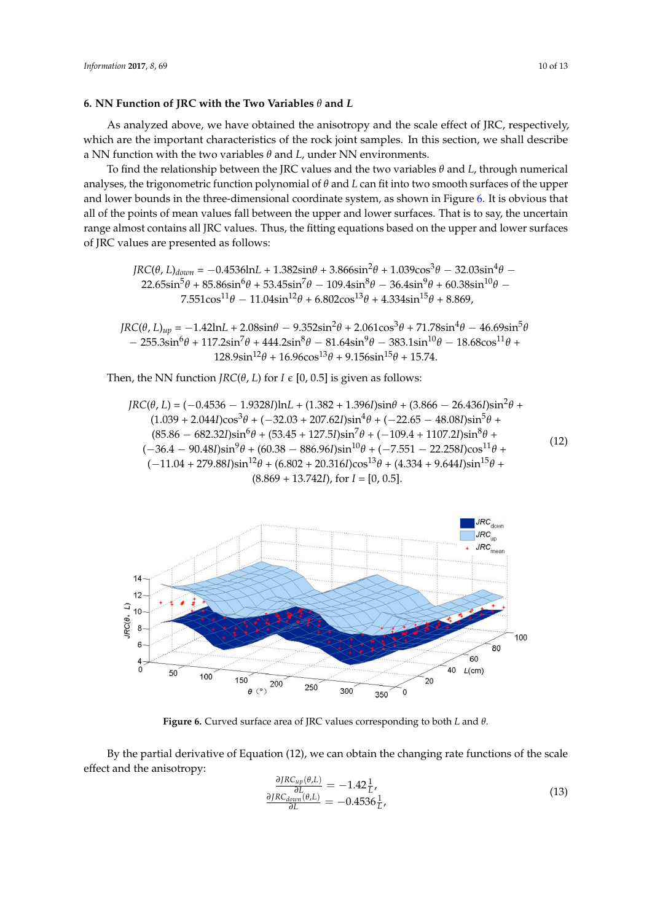## <span id="page-9-0"></span>**6. NN Function of JRC with the Two Variables** *θ* **and** *L*

As analyzed above, we have obtained the anisotropy and the scale effect of JRC, respectively, which are the important characteristics of the rock joint samples. In this section, we shall describe a NN function with the two variables  $\theta$  and  $L$ , under NN environments.

To find the relationship between the JRC values and the two variables  $\theta$  and *L*, through numerical analyses, the trigonometric function polynomial of *θ* and *L* can fit into two smooth surfaces of the upper and lower bounds in the three-dimensional coordinate system, as shown in Figure [6.](#page-9-1) It is obvious that<br>all of the points of mean values fall between the upper and lower surfaces. That is to say the upcertain and lower bounds in the three-dimensional coordinate system, as shown in Figure 6. It is obvious that all of the points of mean values fall between the upper and lower surfaces. That is to say, the uncertain range almost contains all JRC values. Thus, the fitting equations based on the upper and lower surfaces<br>of JRC values are presented as follows:<br>*MRC* of JRC values are presented as follows:

$$
JRC(\theta, L)_{down} = -0.4536 \ln L + 1.382 \sin \theta + 3.866 \sin^2 \theta + 1.039 \cos^3 \theta - 32.03 \sin^4 \theta - 22.65 \sin^5 \theta + 85.86 \sin^6 \theta + 53.45 \sin^7 \theta - 109.4 \sin^8 \theta - 36.4 \sin^9 \theta + 60.38 \sin^{10} \theta - 7.551 \cos^{11} \theta - 11.04 \sin^{12} \theta + 6.802 \cos^{13} \theta + 4.334 \sin^{15} \theta + 8.869,
$$

 $JRC(θ, L)_{up} = -1.42lnL + 2.08sinθ - 9.352sin<sup>2</sup>θ + 2.061cos<sup>3</sup>θ + 71.78sin<sup>4</sup>θ - 46.69sin<sup>5</sup>θ$  $-255.3\sin^6θ + 117.2\sin^7θ + 444.2\sin^8θ - 81.64\sin^9θ - 383.1\sin^{10}θ - 18.68\cos^{11}θ +$  $128.9\sin^{12}\theta + 16.96\cos^{13}\theta + 9.156\sin^{15}\theta + 15.74.$ 233.45sin cos 1531.8sin cos 820.4sin cos 3553.6sin cos − − ++

Then, the NN function *JRC*( $\theta$ , *L*) for *I*  $\epsilon$  [0, 0.5] is given as follows:

$$
JRC(\theta, L) = (-0.4536 - 1.9328I) \ln L + (1.382 + 1.396I) \sin \theta + (3.866 - 26.436I) \sin^2 \theta + (1.039 + 2.044I) \cos^3 \theta + (-32.03 + 207.62I) \sin^4 \theta + (-22.65 - 48.08I) \sin^5 \theta + (85.86 - 682.32I) \sin^6 \theta + (53.45 + 127.5I) \sin^7 \theta + (-109.4 + 1107.2I) \sin^8 \theta + (-36.4 - 90.48I) \sin^9 \theta + (60.38 - 886.96I) \sin^{10} \theta + (-7.551 - 22.258I) \cos^{11} \theta + (-11.04 + 279.88I) \sin^{12} \theta + (6.802 + 20.316I) \cos^{13} \theta + (4.334 + 9.644I) \sin^{15} \theta + (8.869 + 13.742I), \text{ for } I = [0, 0.5].
$$
\n(3.869 + 13.742I), for  $I = [0, 0.5]$ .

<span id="page-9-1"></span>

**Figure 6.** Curved surface area of JRC values corresponding to both *L* and *θ.*

By the partial derivative of Equation (12), we can obtain the changing rate functions of the scale effect and the anisotropy:

$$
\frac{\partial JRC_{up}(\theta,L)}{\partial L} = -1.42 \frac{1}{L},
$$
\n
$$
\frac{\partial JRC_{down}(\theta,L)}{\partial L} = -0.4536 \frac{1}{L},
$$
\n(13)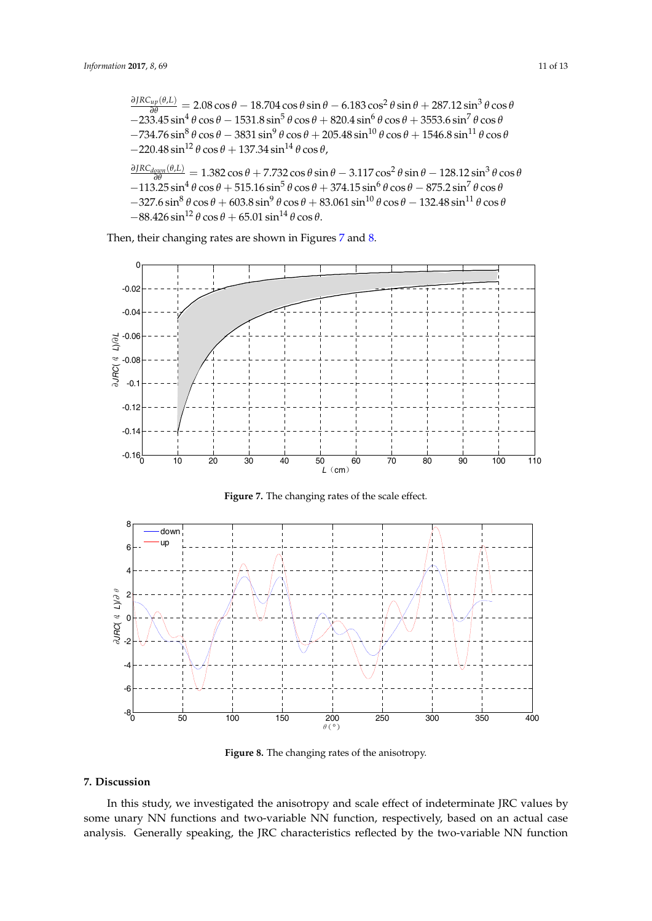$\frac{\partial JRC_{up}(\theta,L)}{\partial \theta}$  = 2.08 cos *θ* − 18.704 cos *θ* sin *θ* − 6.183 cos<sup>2</sup> θ sin θ + 287.12 sin<sup>3</sup> θ cos θ  $-233.45 \sin^4 \theta \cos \theta - 1531.8 \sin^5 \theta \cos \theta + 820.4 \sin^6 \theta \cos \theta + 3553.6 \sin^7 \theta \cos \theta$  $-734.76 \sin^8 \theta \cos \theta - 3831 \sin^9 \theta \cos \theta + 205.48 \sin^{10} \theta \cos \theta + 1546.8 \sin^{11} \theta \cos \theta$  $-220.48 \sin^{12} \theta \cos \theta + 137.34 \sin^{14} \theta \cos \theta$ ,  $\frac{\partial JRC_{down}(\theta, L)}{\partial \theta}$  = 1.382 cos *θ* + 7.732 cos *θ* sin *θ* − 3.117 cos<sup>2</sup> θ sin θ − 128.12 sin<sup>3</sup> θ cos θ  $-113.25 \sin^4 \theta \cos \theta + 515.16 \sin^5 \theta \cos \theta + 374.15 \sin^6 \theta \cos \theta - 875.2 \sin^7 \theta \cos \theta$  $-327.6 \sin^8 \theta \cos \theta + 603.8 \sin^9 \theta \cos \theta + 83.061 \sin^{10} \theta \cos \theta - 132.48 \sin^{11} \theta \cos \theta$  $-88.426 \sin^{12} \theta \cos \theta + 65.01 \sin^{14} \theta \cos \theta$ .

Then, their changing rates are shown in Figures [7](#page-10-1) and [8.](#page-10-2)

<span id="page-10-1"></span>

**Figure 7.** The changing rates of the scale effect.

<span id="page-10-2"></span>

**Figure 8.** The changing rates of the anisotropy. **Figure 8.** The changing rates of the anisotropy.

# <span id="page-10-0"></span>**7. Discussion 7. Discussion**

In this study, we investigated the anisotropy and scale effect of indeterminate JRC values by In this study, we investigated the anisotropy and scale effect of indeterminate JRC values by some unary NN functions and two-variable NN function, respectively, based on an actual case analysis. Generally speaking, the JRC characteristics reflected by the two-variable NN function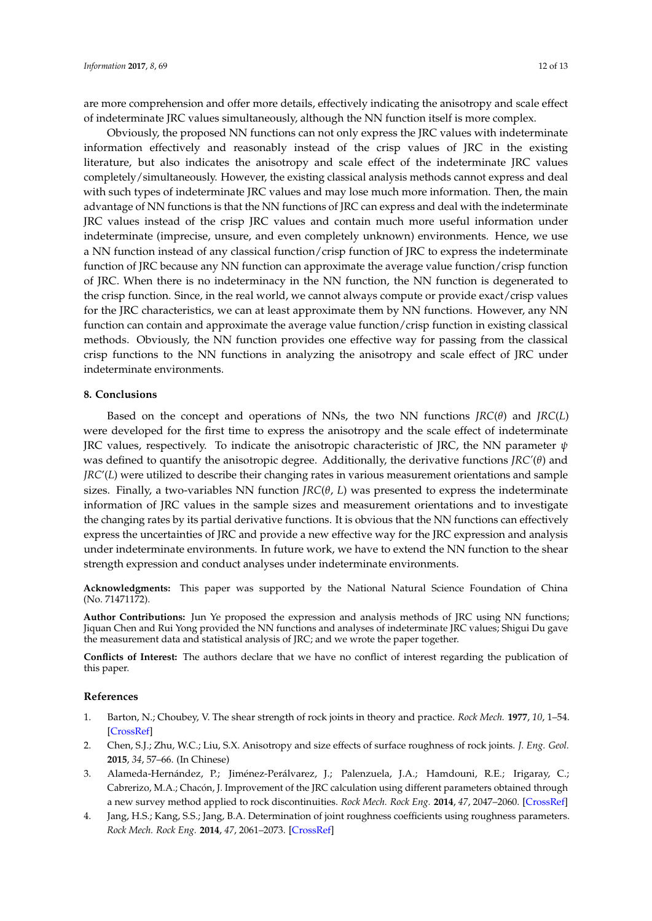are more comprehension and offer more details, effectively indicating the anisotropy and scale effect of indeterminate JRC values simultaneously, although the NN function itself is more complex.

Obviously, the proposed NN functions can not only express the JRC values with indeterminate information effectively and reasonably instead of the crisp values of JRC in the existing literature, but also indicates the anisotropy and scale effect of the indeterminate JRC values completely/simultaneously. However, the existing classical analysis methods cannot express and deal with such types of indeterminate JRC values and may lose much more information. Then, the main advantage of NN functions is that the NN functions of JRC can express and deal with the indeterminate JRC values instead of the crisp JRC values and contain much more useful information under indeterminate (imprecise, unsure, and even completely unknown) environments. Hence, we use a NN function instead of any classical function/crisp function of JRC to express the indeterminate function of JRC because any NN function can approximate the average value function/crisp function of JRC. When there is no indeterminacy in the NN function, the NN function is degenerated to the crisp function. Since, in the real world, we cannot always compute or provide exact/crisp values for the JRC characteristics, we can at least approximate them by NN functions. However, any NN function can contain and approximate the average value function/crisp function in existing classical methods. Obviously, the NN function provides one effective way for passing from the classical crisp functions to the NN functions in analyzing the anisotropy and scale effect of JRC under indeterminate environments.

#### <span id="page-11-2"></span>**8. Conclusions**

Based on the concept and operations of NNs, the two NN functions *JRC*(*θ*) and *JRC*(*L*) were developed for the first time to express the anisotropy and the scale effect of indeterminate JRC values, respectively. To indicate the anisotropic characteristic of JRC, the NN parameter *ψ* was defined to quantify the anisotropic degree. Additionally, the derivative functions *JRC'*(*θ*) and *JRC*'(*L*) were utilized to describe their changing rates in various measurement orientations and sample sizes. Finally, a two-variables NN function  $\textit{IRC}(\theta, L)$  was presented to express the indeterminate information of JRC values in the sample sizes and measurement orientations and to investigate the changing rates by its partial derivative functions. It is obvious that the NN functions can effectively express the uncertainties of JRC and provide a new effective way for the JRC expression and analysis under indeterminate environments. In future work, we have to extend the NN function to the shear strength expression and conduct analyses under indeterminate environments.

**Acknowledgments:** This paper was supported by the National Natural Science Foundation of China (No. 71471172).

**Author Contributions:** Jun Ye proposed the expression and analysis methods of JRC using NN functions; Jiquan Chen and Rui Yong provided the NN functions and analyses of indeterminate JRC values; Shigui Du gave the measurement data and statistical analysis of JRC; and we wrote the paper together.

**Conflicts of Interest:** The authors declare that we have no conflict of interest regarding the publication of this paper.

#### **References**

- <span id="page-11-0"></span>1. Barton, N.; Choubey, V. The shear strength of rock joints in theory and practice. *Rock Mech.* **1977**, *10*, 1–54. [\[CrossRef\]](http://dx.doi.org/10.1007/BF01261801)
- <span id="page-11-1"></span>2. Chen, S.J.; Zhu, W.C.; Liu, S.X. Anisotropy and size effects of surface roughness of rock joints. *J. Eng. Geol.* **2015**, *34*, 57–66. (In Chinese)
- 3. Alameda-Hernández, P.; Jiménez-Perálvarez, J.; Palenzuela, J.A.; Hamdouni, R.E.; Irigaray, C.; Cabrerizo, M.A.; Chacón, J. Improvement of the JRC calculation using different parameters obtained through a new survey method applied to rock discontinuities. *Rock Mech. Rock Eng.* **2014**, *47*, 2047–2060. [\[CrossRef\]](http://dx.doi.org/10.1007/s00603-013-0532-2)
- 4. Jang, H.S.; Kang, S.S.; Jang, B.A. Determination of joint roughness coefficients using roughness parameters. *Rock Mech. Rock Eng.* **2014**, *47*, 2061–2073. [\[CrossRef\]](http://dx.doi.org/10.1007/s00603-013-0535-z)